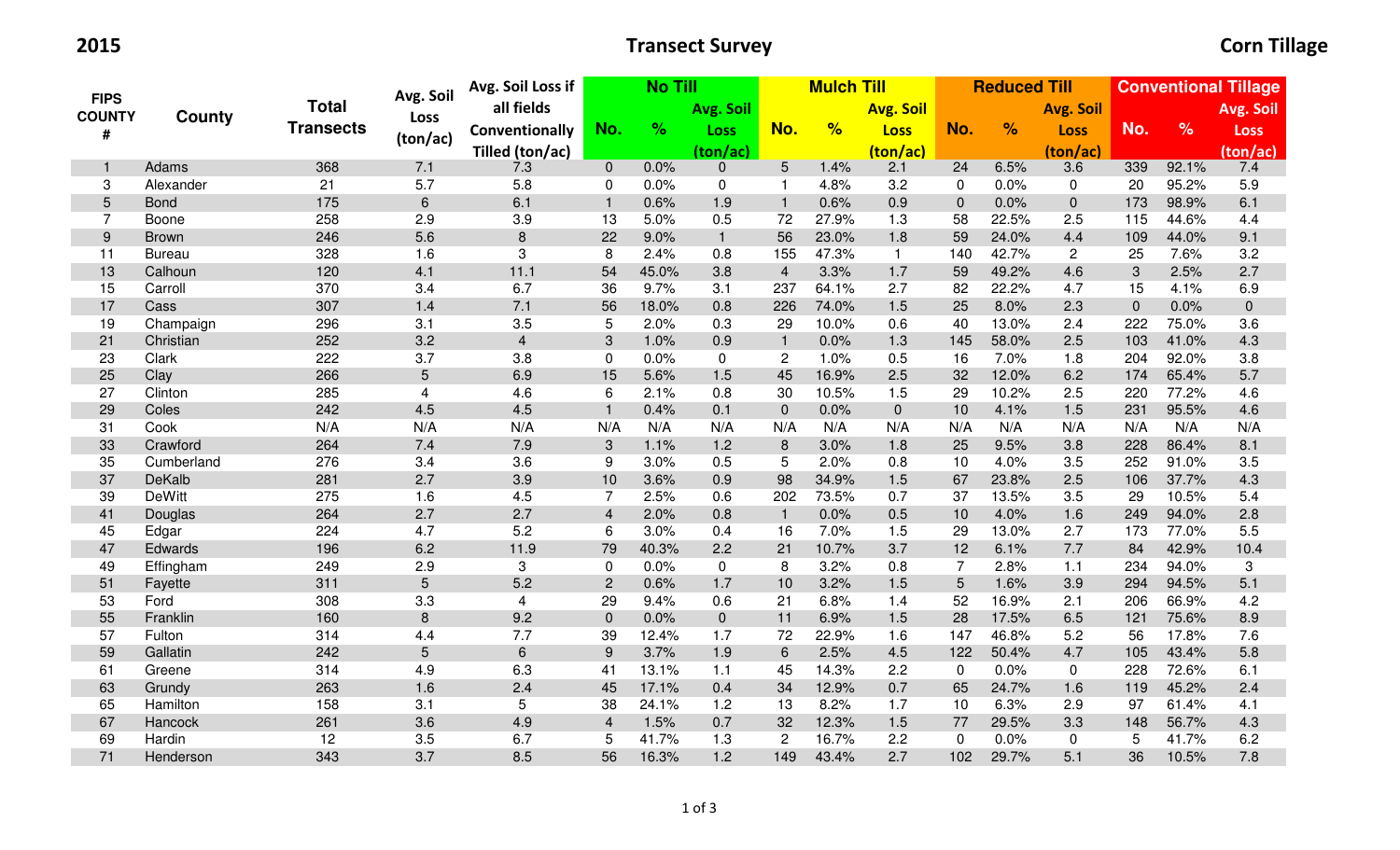2015

## **Transect Survey Community Community** Corn Tillage

|                              |               | <b>Total</b>     | Avg. Soil      | Avg. Soil Loss if       | <b>No Till</b> |       |              |                 | <b>Mulch Till</b> |                  | <b>Reduced Till</b> |               |                  | <b>Conventional Tillage</b> |               |             |
|------------------------------|---------------|------------------|----------------|-------------------------|----------------|-------|--------------|-----------------|-------------------|------------------|---------------------|---------------|------------------|-----------------------------|---------------|-------------|
| <b>FIPS</b><br><b>COUNTY</b> |               |                  | Loss           | all fields              |                |       | Avg. Soil    |                 |                   | <b>Avg. Soil</b> |                     |               | <b>Avg. Soil</b> |                             |               | Avg. Soil   |
| #                            | <b>County</b> | <b>Transects</b> |                | Conventionally          | No.            | %     | Loss         | No.             | %                 | <b>Loss</b>      | No.                 | $\frac{1}{2}$ | <b>Loss</b>      | No.                         | $\frac{9}{6}$ | <b>Loss</b> |
|                              |               |                  | (ton/ac)       | Tilled (ton/ac)         |                |       | (ton/ac)     |                 |                   | (ton/ac)         |                     |               | (ton/ac)         |                             |               | (ton/ac)    |
| $\mathbf{1}$                 | Adams         | 368              | 7.1            | 7.3                     | $\overline{0}$ | 0.0%  | $\mathbf 0$  | $5\phantom{.0}$ | 1.4%              | 2.1              | 24                  | 6.5%          | 3.6              | 339                         | 92.1%         | 7.4         |
| 3                            | Alexander     | 21               | 5.7            | 5.8                     | 0              | 0.0%  | $\mathbf 0$  | -1              | 4.8%              | 3.2              | $\mathbf 0$         | 0.0%          | 0                | 20                          | 95.2%         | 5.9         |
| $5\phantom{.}$               | <b>Bond</b>   | 175              | $\,6\,$        | 6.1                     | $\mathbf{1}$   | 0.6%  | 1.9          | $\overline{1}$  | 0.6%              | 0.9              | $\mathbf 0$         | 0.0%          | $\mathbf 0$      | 173                         | 98.9%         | 6.1         |
| $\overline{7}$               | Boone         | 258              | 2.9            | 3.9                     | 13             | 5.0%  | 0.5          | 72              | 27.9%             | 1.3              | 58                  | 22.5%         | 2.5              | 115                         | 44.6%         | 4.4         |
| 9                            | <b>Brown</b>  | 246              | 5.6            | $\bf 8$                 | 22             | 9.0%  | $\mathbf{1}$ | 56              | 23.0%             | 1.8              | 59                  | 24.0%         | 4.4              | 109                         | 44.0%         | 9.1         |
| 11                           | <b>Bureau</b> | 328              | 1.6            | 3                       | 8              | 2.4%  | 0.8          | 155             | 47.3%             | $\overline{1}$   | 140                 | 42.7%         | 2                | 25                          | 7.6%          | 3.2         |
| 13                           | Calhoun       | 120              | 4.1            | 11.1                    | 54             | 45.0% | 3.8          | $\overline{4}$  | 3.3%              | 1.7              | 59                  | 49.2%         | 4.6              | $\sqrt{3}$                  | 2.5%          | 2.7         |
| 15                           | Carroll       | 370              | 3.4            | 6.7                     | 36             | 9.7%  | 3.1          | 237             | 64.1%             | 2.7              | 82                  | 22.2%         | 4.7              | 15                          | 4.1%          | 6.9         |
| 17                           | Cass          | 307              | 1.4            | 7.1                     | 56             | 18.0% | 0.8          | 226             | 74.0%             | 1.5              | 25                  | 8.0%          | 2.3              | $\overline{0}$              | 0.0%          | $\pmb{0}$   |
| 19                           | Champaign     | 296              | 3.1            | 3.5                     | 5              | 2.0%  | 0.3          | 29              | 10.0%             | 0.6              | 40                  | 13.0%         | 2.4              | 222                         | 75.0%         | 3.6         |
| 21                           | Christian     | 252              | 3.2            | $\overline{\mathbf{4}}$ | 3              | 1.0%  | 0.9          | $\overline{1}$  | 0.0%              | 1.3              | 145                 | 58.0%         | 2.5              | 103                         | 41.0%         | 4.3         |
| 23                           | Clark         | 222              | 3.7            | 3.8                     | 0              | 0.0%  | $\mathbf 0$  | $\overline{2}$  | 1.0%              | 0.5              | 16                  | 7.0%          | 1.8              | 204                         | 92.0%         | 3.8         |
| 25                           | Clay          | 266              | $5\phantom{.}$ | 6.9                     | 15             | 5.6%  | 1.5          | 45              | 16.9%             | 2.5              | 32                  | 12.0%         | 6.2              | 174                         | 65.4%         | 5.7         |
| 27                           | Clinton       | 285              | 4              | 4.6                     | 6              | 2.1%  | 0.8          | 30              | 10.5%             | 1.5              | 29                  | 10.2%         | 2.5              | 220                         | 77.2%         | 4.6         |
| 29                           | Coles         | 242              | 4.5            | 4.5                     | $\mathbf{1}$   | 0.4%  | 0.1          | $\overline{0}$  | 0.0%              | $\overline{0}$   | 10                  | 4.1%          | 1.5              | 231                         | 95.5%         | 4.6         |
| 31                           | Cook          | N/A              | N/A            | N/A                     | N/A            | N/A   | N/A          | N/A             | N/A               | N/A              | N/A                 | N/A           | N/A              | N/A                         | N/A           | N/A         |
| 33                           | Crawford      | 264              | 7.4            | 7.9                     | 3              | 1.1%  | 1.2          | 8               | 3.0%              | 1.8              | 25                  | 9.5%          | 3.8              | 228                         | 86.4%         | 8.1         |
| 35                           | Cumberland    | 276              | 3.4            | 3.6                     | 9              | 3.0%  | 0.5          | 5               | 2.0%              | 0.8              | 10                  | 4.0%          | 3.5              | 252                         | 91.0%         | 3.5         |
| 37                           | DeKalb        | 281              | 2.7            | 3.9                     | 10             | 3.6%  | 0.9          | 98              | 34.9%             | 1.5              | 67                  | 23.8%         | 2.5              | 106                         | 37.7%         | 4.3         |
| 39                           | <b>DeWitt</b> | 275              | 1.6            | 4.5                     | 7              | 2.5%  | 0.6          | 202             | 73.5%             | 0.7              | 37                  | 13.5%         | 3.5              | 29                          | 10.5%         | 5.4         |
| 41                           | Douglas       | 264              | 2.7            | 2.7                     | $\overline{4}$ | 2.0%  | 0.8          | $\overline{1}$  | 0.0%              | 0.5              | 10                  | 4.0%          | 1.6              | 249                         | 94.0%         | 2.8         |
| 45                           | Edgar         | 224              | 4.7            | 5.2                     | 6              | 3.0%  | 0.4          | 16              | 7.0%              | 1.5              | 29                  | 13.0%         | 2.7              | 173                         | 77.0%         | 5.5         |
| 47                           | Edwards       | 196              | 6.2            | 11.9                    | 79             | 40.3% | 2.2          | 21              | 10.7%             | 3.7              | 12                  | 6.1%          | 7.7              | 84                          | 42.9%         | 10.4        |
| 49                           | Effingham     | 249              | 2.9            | 3                       | 0              | 0.0%  | $\mathbf 0$  | 8               | 3.2%              | 0.8              | $\overline{7}$      | 2.8%          | $1.1$            | 234                         | 94.0%         | 3           |
| 51                           | Fayette       | 311              | $5\phantom{.}$ | 5.2                     | 2              | 0.6%  | 1.7          | 10              | 3.2%              | 1.5              | 5                   | 1.6%          | 3.9              | 294                         | 94.5%         | 5.1         |
| 53                           | Ford          | 308              | 3.3            | $\overline{4}$          | 29             | 9.4%  | 0.6          | 21              | 6.8%              | 1.4              | 52                  | 16.9%         | 2.1              | 206                         | 66.9%         | 4.2         |
| 55                           | Franklin      | 160              | $\,8\,$        | 9.2                     | $\mathbf{0}$   | 0.0%  | $\mathbf 0$  | 11              | 6.9%              | 1.5              | 28                  | 17.5%         | 6.5              | 121                         | 75.6%         | 8.9         |
| 57                           | Fulton        | 314              | 4.4            | 7.7                     | 39             | 12.4% | 1.7          | 72              | 22.9%             | 1.6              | 147                 | 46.8%         | 5.2              | 56                          | 17.8%         | 7.6         |
| 59                           | Gallatin      | 242              | 5              | 6                       | 9              | 3.7%  | 1.9          | 6               | 2.5%              | 4.5              | 122                 | 50.4%         | 4.7              | 105                         | 43.4%         | 5.8         |
| 61                           | Greene        | 314              | 4.9            | 6.3                     | 41             | 13.1% | 1.1          | 45              | 14.3%             | 2.2              | $\mathbf 0$         | 0.0%          | $\mathbf 0$      | 228                         | 72.6%         | 6.1         |
| 63                           | Grundy        | 263              | 1.6            | 2.4                     | 45             | 17.1% | 0.4          | 34              | 12.9%             | 0.7              | 65                  | 24.7%         | 1.6              | 119                         | 45.2%         | 2.4         |
| 65                           | Hamilton      | 158              | 3.1            | 5                       | 38             | 24.1% | 1.2          | 13              | 8.2%              | 1.7              | 10                  | 6.3%          | 2.9              | 97                          | 61.4%         | 4.1         |
| 67                           | Hancock       | 261              | 3.6            | 4.9                     | $\overline{4}$ | 1.5%  | 0.7          | 32              | 12.3%             | 1.5              | $77 \,$             | 29.5%         | 3.3              | 148                         | 56.7%         | 4.3         |
| 69                           | Hardin        | 12               | 3.5            | 6.7                     | 5              | 41.7% | 1.3          | $\overline{2}$  | 16.7%             | 2.2              | $\mathbf 0$         | 0.0%          | 0                | 5                           | 41.7%         | 6.2         |
| 71                           | Henderson     | 343              | 3.7            | 8.5                     | 56             | 16.3% | 1.2          | 149             | 43.4%             | 2.7              | 102                 | 29.7%         | 5.1              | 36                          | 10.5%         | 7.8         |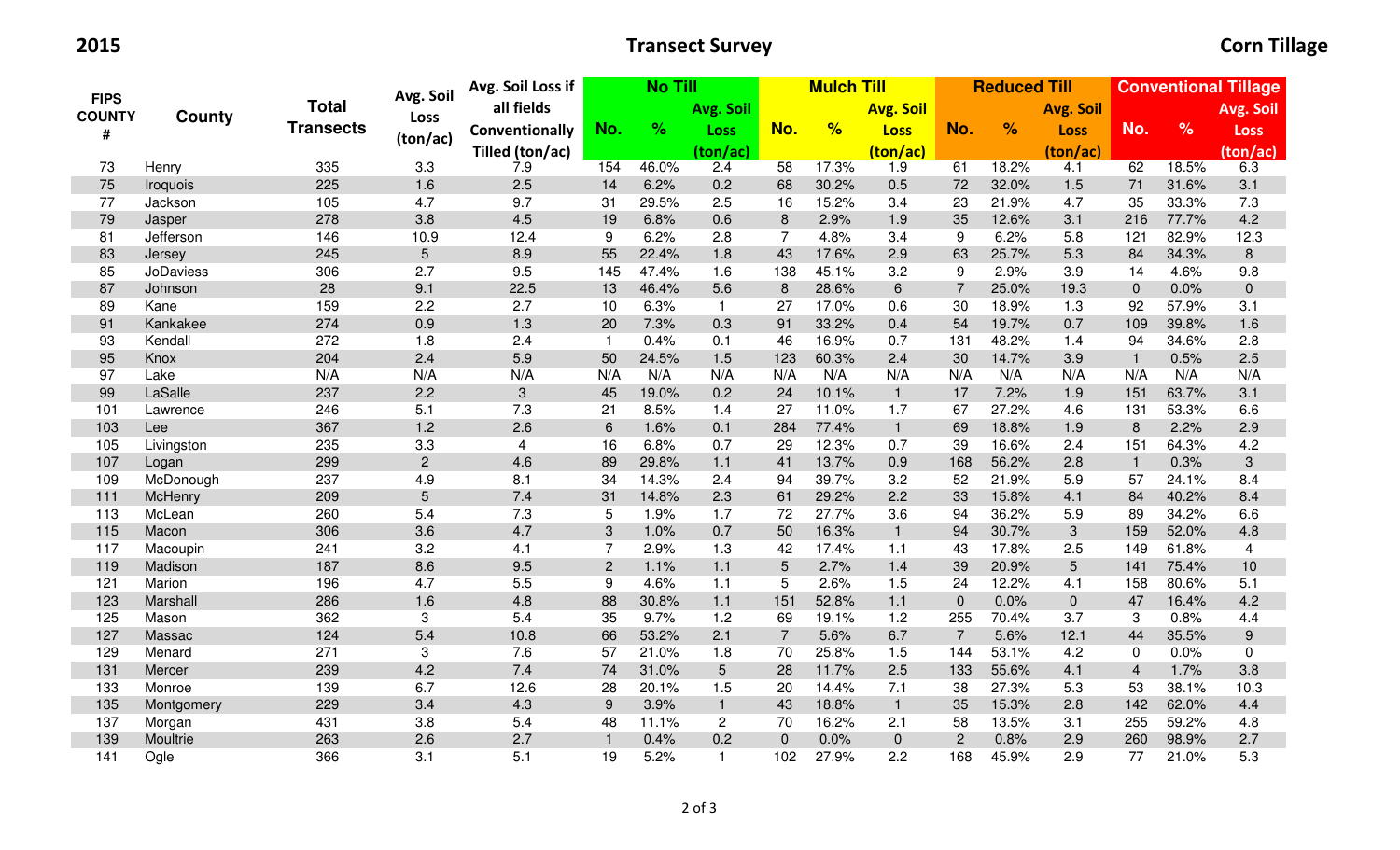2015

## **Transect Survey Community Community** Corn Tillage

|                              | <b>County</b>    |                  | Avg. Soil                 | Avg. Soil Loss if | <b>No Till</b> |       |                |                | <b>Mulch Till</b> |                  | <b>Reduced Till</b> |               |                  | <b>Conventional Tillage</b> |               |                  |
|------------------------------|------------------|------------------|---------------------------|-------------------|----------------|-------|----------------|----------------|-------------------|------------------|---------------------|---------------|------------------|-----------------------------|---------------|------------------|
| <b>FIPS</b><br><b>COUNTY</b> |                  | <b>Total</b>     | Loss                      | all fields        |                |       | Avg. Soil      |                |                   | <b>Avg. Soil</b> |                     |               | <b>Avg. Soil</b> |                             |               | Avg. Soil        |
| #                            |                  | <b>Transects</b> |                           | Conventionally    | No.            | %     | Loss           | No.            | %                 | <b>Loss</b>      | No.                 | $\frac{9}{6}$ | <b>Loss</b>      | No.                         | $\frac{9}{6}$ | <b>Loss</b>      |
|                              |                  |                  | (ton/ac)                  | Tilled (ton/ac)   |                |       | (ton/ac)       |                |                   | (ton/ac)         |                     |               | (ton/ac)         |                             |               | (ton/ac)         |
| 73                           | Henry            | 335              | 3.3                       | 7.9               | 154            | 46.0% | 2.4            | 58             | 17.3%             | 1.9              | 61                  | 18.2%         | 4.1              | 62                          | 18.5%         | 6.3              |
| 75                           | Iroquois         | 225              | 1.6                       | 2.5               | 14             | 6.2%  | 0.2            | 68             | 30.2%             | 0.5              | 72                  | 32.0%         | 1.5              | 71                          | 31.6%         | 3.1              |
| 77                           | Jackson          | 105              | 4.7                       | 9.7               | 31             | 29.5% | 2.5            | 16             | 15.2%             | 3.4              | 23                  | 21.9%         | 4.7              | 35                          | 33.3%         | 7.3              |
| 79                           | Jasper           | 278              | 3.8                       | 4.5               | 19             | 6.8%  | 0.6            | 8              | 2.9%              | 1.9              | 35                  | 12.6%         | 3.1              | 216                         | 77.7%         | 4.2              |
| 81                           | Jefferson        | 146              | 10.9                      | 12.4              | 9              | 6.2%  | 2.8            | 7              | 4.8%              | 3.4              | 9                   | 6.2%          | 5.8              | 121                         | 82.9%         | 12.3             |
| 83                           | Jersey           | 245              | $5\phantom{.}$            | 8.9               | 55             | 22.4% | 1.8            | 43             | 17.6%             | 2.9              | 63                  | 25.7%         | 5.3              | 84                          | 34.3%         | $\,8\,$          |
| 85                           | <b>JoDaviess</b> | 306              | 2.7                       | 9.5               | 145            | 47.4% | 1.6            | 138            | 45.1%             | 3.2              | 9                   | 2.9%          | 3.9              | 14                          | 4.6%          | 9.8              |
| 87                           | Johnson          | 28               | 9.1                       | 22.5              | 13             | 46.4% | 5.6            | $\,8\,$        | 28.6%             | 6                | $\overline{7}$      | 25.0%         | 19.3             | $\mathbf 0$                 | 0.0%          | $\pmb{0}$        |
| 89                           | Kane             | 159              | 2.2                       | 2.7               | 10             | 6.3%  | $\mathbf{1}$   | 27             | 17.0%             | 0.6              | 30                  | 18.9%         | 1.3              | 92                          | 57.9%         | 3.1              |
| 91                           | Kankakee         | 274              | 0.9                       | 1.3               | 20             | 7.3%  | 0.3            | 91             | 33.2%             | 0.4              | 54                  | 19.7%         | 0.7              | 109                         | 39.8%         | 1.6              |
| 93                           | Kendall          | 272              | 1.8                       | 2.4               | $\overline{1}$ | 0.4%  | 0.1            | 46             | 16.9%             | 0.7              | 131                 | 48.2%         | 1.4              | 94                          | 34.6%         | 2.8              |
| 95                           | Knox             | 204              | 2.4                       | 5.9               | 50             | 24.5% | 1.5            | 123            | 60.3%             | 2.4              | 30                  | 14.7%         | 3.9              | $\overline{1}$              | 0.5%          | 2.5              |
| 97                           | Lake             | N/A              | N/A                       | N/A               | N/A            | N/A   | N/A            | N/A            | N/A               | N/A              | N/A                 | N/A           | N/A              | N/A                         | N/A           | N/A              |
| 99                           | LaSalle          | 237              | 2.2                       | 3                 | 45             | 19.0% | 0.2            | 24             | 10.1%             | $\mathbf{1}$     | 17                  | 7.2%          | 1.9              | 151                         | 63.7%         | 3.1              |
| 101                          | Lawrence         | 246              | 5.1                       | 7.3               | 21             | 8.5%  | 1.4            | 27             | 11.0%             | 1.7              | 67                  | 27.2%         | 4.6              | 131                         | 53.3%         | 6.6              |
| 103                          | Lee              | 367              | 1.2                       | 2.6               | 6              | 1.6%  | 0.1            | 284            | 77.4%             | $\overline{1}$   | 69                  | 18.8%         | 1.9              | 8                           | 2.2%          | 2.9              |
| 105                          | Livingston       | 235              | 3.3                       | $\overline{4}$    | 16             | 6.8%  | 0.7            | 29             | 12.3%             | 0.7              | 39                  | 16.6%         | 2.4              | 151                         | 64.3%         | 4.2              |
| 107                          | Logan            | 299              | $\overline{2}$            | 4.6               | 89             | 29.8% | $1.1$          | 41             | 13.7%             | 0.9              | 168                 | 56.2%         | 2.8              | $\overline{1}$              | 0.3%          | $\mathfrak{S}$   |
| 109                          | McDonough        | 237              | 4.9                       | 8.1               | 34             | 14.3% | 2.4            | 94             | 39.7%             | 3.2              | 52                  | 21.9%         | 5.9              | 57                          | 24.1%         | 8.4              |
| 111                          | McHenry          | 209              | $5\phantom{.}$            | 7.4               | 31             | 14.8% | 2.3            | 61             | 29.2%             | 2.2              | 33                  | 15.8%         | 4.1              | 84                          | 40.2%         | 8.4              |
| 113                          | McLean           | 260              | 5.4                       | 7.3               | 5              | 1.9%  | 1.7            | 72             | 27.7%             | 3.6              | 94                  | 36.2%         | 5.9              | 89                          | 34.2%         | 6.6              |
| 115                          | Macon            | 306              | 3.6                       | 4.7               | 3              | 1.0%  | 0.7            | 50             | 16.3%             | $\mathbf{1}$     | 94                  | 30.7%         | 3                | 159                         | 52.0%         | 4.8              |
| 117                          | Macoupin         | 241              | 3.2                       | 4.1               | $\overline{7}$ | 2.9%  | 1.3            | 42             | 17.4%             | 1.1              | 43                  | 17.8%         | 2.5              | 149                         | 61.8%         | $\overline{4}$   |
| 119                          | Madison          | 187              | 8.6                       | $9.5\,$           | $\overline{2}$ | 1.1%  | $1.1$          | $5\phantom{.}$ | 2.7%              | 1.4              | 39                  | 20.9%         | $5\phantom{.}$   | 141                         | 75.4%         | $10$             |
| 121                          | Marion           | 196              | 4.7                       | 5.5               | 9              | 4.6%  | 1.1            | 5              | 2.6%              | 1.5              | 24                  | 12.2%         | 4.1              | 158                         | 80.6%         | 5.1              |
| 123                          | Marshall         | 286              | 1.6                       | 4.8               | 88             | 30.8% | $1.1$          | 151            | 52.8%             | 1.1              | $\overline{0}$      | 0.0%          | $\overline{0}$   | 47                          | 16.4%         | 4.2              |
| 125                          | Mason            | 362              | $\sqrt{3}$                | 5.4               | 35             | 9.7%  | 1.2            | 69             | 19.1%             | 1.2              | 255                 | 70.4%         | 3.7              | 3                           | 0.8%          | 4.4              |
| 127                          | Massac           | 124              | 5.4                       | 10.8              | 66             | 53.2% | 2.1            | $\overline{7}$ | 5.6%              | 6.7              | $\overline{7}$      | 5.6%          | 12.1             | 44                          | 35.5%         | $\boldsymbol{9}$ |
| 129                          | Menard           | 271              | $\ensuremath{\mathsf{3}}$ | 7.6               | 57             | 21.0% | 1.8            | 70             | 25.8%             | 1.5              | 144                 | 53.1%         | 4.2              | 0                           | 0.0%          | 0                |
| 131                          | Mercer           | 239              | 4.2                       | 7.4               | 74             | 31.0% | 5              | 28             | 11.7%             | 2.5              | 133                 | 55.6%         | 4.1              | $\overline{4}$              | 1.7%          | 3.8              |
| 133                          | Monroe           | 139              | 6.7                       | 12.6              | 28             | 20.1% | 1.5            | 20             | 14.4%             | 7.1              | 38                  | 27.3%         | 5.3              | 53                          | 38.1%         | 10.3             |
| 135                          | Montgomery       | 229              | 3.4                       | 4.3               | 9              | 3.9%  | $\mathbf{1}$   | 43             | 18.8%             | $\overline{1}$   | 35                  | 15.3%         | 2.8              | 142                         | 62.0%         | 4.4              |
| 137                          | Morgan           | 431              | 3.8                       | 5.4               | 48             | 11.1% | $\overline{2}$ | 70             | 16.2%             | 2.1              | 58                  | 13.5%         | 3.1              | 255                         | 59.2%         | 4.8              |
| 139                          | Moultrie         | 263              | 2.6                       | 2.7               | $\mathbf{1}$   | 0.4%  | 0.2            | $\mathbf 0$    | 0.0%              | $\mathbf 0$      | $\overline{c}$      | 0.8%          | 2.9              | 260                         | 98.9%         | 2.7              |
| 141                          | Ogle             | 366              | 3.1                       | 5.1               | 19             | 5.2%  | $\mathbf 1$    | 102            | 27.9%             | 2.2              | 168                 | 45.9%         | 2.9              | 77                          | 21.0%         | 5.3              |